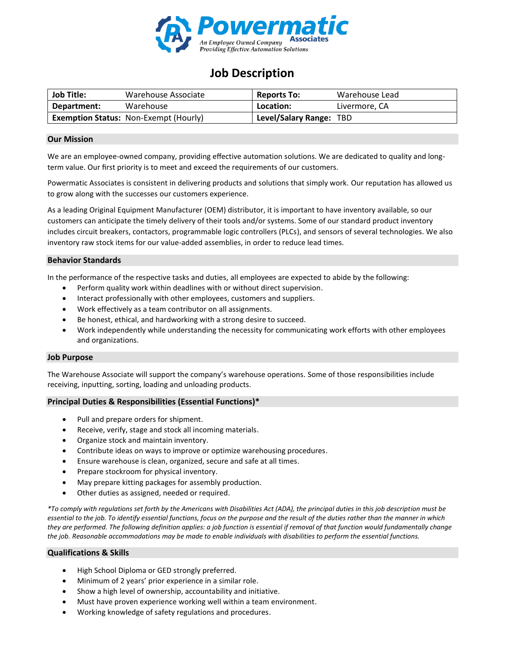

# **Job Description**

| <b>Job Title:</b> | Warehouse Associate                          | <b>Reports To:</b>      | Warehouse Lead |
|-------------------|----------------------------------------------|-------------------------|----------------|
| Department:       | Warehouse                                    | Location:               | Livermore, CA  |
|                   | <b>Exemption Status: Non-Exempt (Hourly)</b> | Level/Salary Range: TBD |                |

## **Our Mission**

We are an employee-owned company, providing effective automation solutions. We are dedicated to quality and longterm value. Our first priority is to meet and exceed the requirements of our customers.

Powermatic Associates is consistent in delivering products and solutions that simply work. Our reputation has allowed us to grow along with the successes our customers experience.

As a leading Original Equipment Manufacturer (OEM) distributor, it is important to have inventory available, so our customers can anticipate the timely delivery of their tools and/or systems. Some of our standard product inventory includes circuit breakers, contactors, programmable logic controllers (PLCs), and sensors of several technologies. We also inventory raw stock items for our value-added assemblies, in order to reduce lead times.

## **Behavior Standards**

In the performance of the respective tasks and duties, all employees are expected to abide by the following:

- Perform quality work within deadlines with or without direct supervision.
- Interact professionally with other employees, customers and suppliers.
- Work effectively as a team contributor on all assignments.
- Be honest, ethical, and hardworking with a strong desire to succeed.
- Work independently while understanding the necessity for communicating work efforts with other employees and organizations.

### **Job Purpose**

The Warehouse Associate will support the company's warehouse operations. Some of those responsibilities include receiving, inputting, sorting, loading and unloading products.

#### **Principal Duties & Responsibilities (Essential Functions)\***

- Pull and prepare orders for shipment.
- Receive, verify, stage and stock all incoming materials.
- Organize stock and maintain inventory.
- Contribute ideas on ways to improve or optimize warehousing procedures.
- Ensure warehouse is clean, organized, secure and safe at all times.
- Prepare stockroom for physical inventory.
- May prepare kitting packages for assembly production.
- Other duties as assigned, needed or required.

*\*To comply with regulations set forth by the Americans with Disabilities Act (ADA), the principal duties in this job description must be essential to the job. To identify essential functions, focus on the purpose and the result of the duties rather than the manner in which they are performed. The following definition applies: a job function is essential if removal of that function would fundamentally change the job. Reasonable accommodations may be made to enable individuals with disabilities to perform the essential functions.*

#### **Qualifications & Skills**

- High School Diploma or GED strongly preferred.
- Minimum of 2 years' prior experience in a similar role.
- Show a high level of ownership, accountability and initiative.
- Must have proven experience working well within a team environment.
- Working knowledge of safety regulations and procedures.